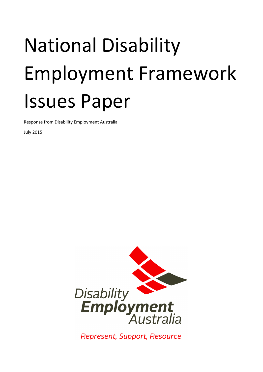# National Disability Employment Framework Issues Paper

Response from Disability Employment Australia

July 2015



Represent, Support, Resource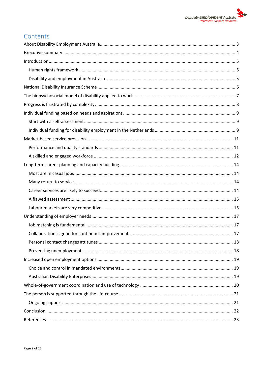

## Contents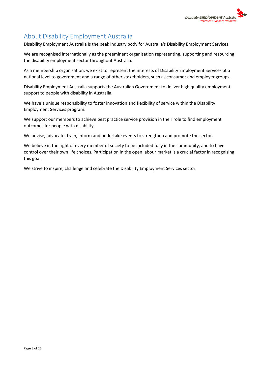

# <span id="page-2-0"></span>About Disability Employment Australia

Disability Employment Australia is the peak industry body for Australia's Disability Employment Services.

We are recognised internationally as the preeminent organisation representing, supporting and resourcing the disability employment sector throughout Australia.

As a membership organisation, we exist to represent the interests of Disability Employment Services at a national level to government and a range of other stakeholders, such as consumer and employer groups.

Disability Employment Australia supports the Australian Government to deliver high quality employment support to people with disability in Australia.

We have a unique responsibility to foster innovation and flexibility of service within the Disability Employment Services program.

We support our members to achieve best practice service provision in their role to find employment outcomes for people with disability.

We advise, advocate, train, inform and undertake events to strengthen and promote the sector.

We believe in the right of every member of society to be included fully in the community, and to have control over their own life choices. Participation in the open labour market is a crucial factor in recognising this goal.

We strive to inspire, challenge and celebrate the Disability Employment Services sector.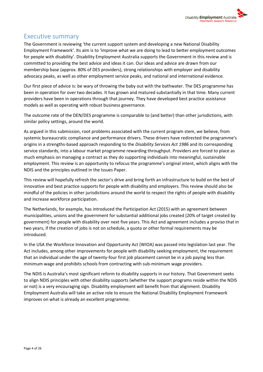

### <span id="page-3-0"></span>Executive summary

The Government is reviewing 'the current support system and developing a new National Disability Employment Framework'. Its aim is to 'improve what we are doing to lead to better employment outcomes for people with disability'. Disability Employment Australia supports the Government in this review and is committed to providing the best advice and ideas it can. Our ideas and advice are drawn from our membership base (approx. 80% of DES providers), strong relationships with employer and disability advocacy peaks, as well as other employment service peaks, and national and international evidence.

Our first piece of advice is: be wary of throwing the baby out with the bathwater. The DES programme has been in operation for over two decades. It has grown and matured substantially in that time. Many current providers have been in operations through that journey. They have developed best practice assistance models as well as operating with robust business governance.

The outcome rate of the DEN/DES programme is comparable to (and better) than other jurisdictions, with similar policy settings, around the world.

As argued in this submission, root problems associated with the current program stem, we believe, from systemic bureaucratic compliance and performance drivers. These drivers have redirected the programme's origins in a strengths-based approach responding to the *Disability Services Act 1986* and its corresponding service standards, into a labour market programme rewarding throughput. Providers are forced to place as much emphasis on managing a contract as they do supporting individuals into meaningful, sustainable employment. This review is an opportunity to refocus the programme's original intent, which aligns with the NDIS and the principles outlined in the Issues Paper.

This review will hopefully refresh the sector's drive and bring forth an infrastructure to build on the best of innovative and best practice supports for people with disability and employers. This review should also be mindful of the policies in other jurisdictions around the world to respect the rights of people with disability and increase workforce participation.

The Netherlands, for example, has introduced the Participation Act (2015) with an agreement between municipalities, unions and the government for substantial additional jobs created (20% of target created by government) for people with disability over next five years. This Act and agreement includes a proviso that in two years, if the creation of jobs is not on schedule, a quota or other formal requirements may be introduced.

In the USA the Workforce Innovation and Opportunity Act (WIOA) was passed into legislation last year. The Act includes, among other improvements for people with disability seeking employment, the requirement that an individual under the age of twenty-four first job placement cannot be in a job paying less than minimum wage and prohibits schools from contracting with sub-minimum wage providers.

The NDIS is Australia's most significant reform to disability supports in our history. That Government seeks to align NDIS principles with other disability supports (whether the support programs reside within the NDIS or not) is a very encouraging sign. Disability employment will benefit from that alignment. Disability Employment Australia will take an active role to ensure the National Disability Employment Framework improves on what is already an excellent programme.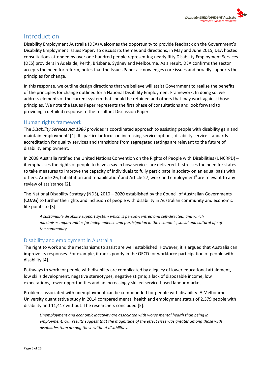## <span id="page-4-0"></span>Introduction

Disability Employment Australia (DEA) welcomes the opportunity to provide feedback on the Government's Disability Employment Issues Paper. To discuss its themes and directions, in May and June 2015, DEA hosted consultations attended by over one hundred people representing nearly fifty Disability Employment Services (DES) providers in Adelaide, Perth, Brisbane, Sydney and Melbourne. As a result, DEA confirms the sector accepts the need for reform, notes that the Issues Paper acknowledges core issues and broadly supports the principles for change.

In this response, we outline design directions that we believe will assist Government to realise the benefits of the principles for change outlined for a National Disability Employment Framework. In doing so, we address elements of the current system that should be retained and others that may work against those principles. We note the Issues Paper represents the first phase of consultations and look forward to providing a detailed response to the resultant Discussion Paper.

#### <span id="page-4-1"></span>Human rights framework

The *Disability Services Act 1986* provides 'a coordinated approach to assisting people with disability gain and maintain employment' [1]. Its particular focus on increasing service options, disability service standards accreditation for quality services and transitions from segregated settings are relevant to the future of disability employment.

In 2008 Australia ratified the United Nations Convention on the Rights of People with Disabilities (UNCRPD) – it emphasises the rights of people to have a say in how services are delivered. It stresses the need for states to take measures to improve the capacity of individuals to fully participate in society on an equal basis with others. Article 26, habilitation and rehabilitation<sup>i</sup> and Article 27, work and employment<sup>ii</sup> are relevant to any review of assistance [2].

The National Disability Strategy (NDS), 2010 – 2020 established by the Council of Australian Governments (COAG) to further the rights and inclusion of people with disability in Australian community and economic life points to [3]:

*A sustainable disability support system which is person-centred and self-directed, and which maximises opportunities for independence and participation in the economic, social and cultural life of the community.*

#### <span id="page-4-2"></span>Disability and employment in Australia

The right to work and the mechanisms to assist are well established. However, it is argued that Australia can improve its responses. For example, it ranks poorly in the OECD for workforce participation of people with disability [4].

Pathways to work for people with disability are complicated by a legacy of lower educational attainment, low skills development, negative stereotypes, negative stigma; a lack of disposable income, low expectations, fewer opportunities and an increasingly-skilled service-based labour market.

Problems associated with unemployment can be compounded for people with disability. A Melbourne University quantitative study in 2014 compared mental health and employment status of 2,379 people with disability and 11,417 without. The researchers concluded [5]:

*Unemployment and economic inactivity are associated with worse mental health than being in employment. Our results suggest that the magnitude of the effect sizes was greater among those with disabilities than among those without disabilities.*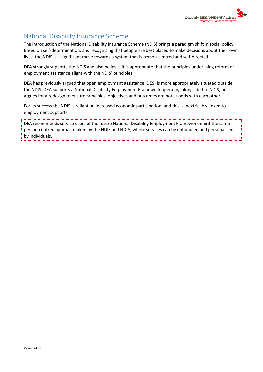

## <span id="page-5-0"></span>National Disability Insurance Scheme

The introduction of the National Disability Insurance Scheme (NDIS) brings a paradigm shift in social policy. Based on self-determination, and recognising that people are best placed to make decisions about their own lives, the NDIS is a significant move towards a system that is person-centred and self-directed.

DEA strongly supports the NDIS and also believes it is appropriate that the principles underlining reform of employment assistance aligns with the NDIS' principles.

DEA has previously argued that open employment assistance (DES) is more appropriately situated outside the NDIS. DEA supports a National Disability Employment Framework operating alongside the NDIS, but argues for a redesign to ensure principles, objectives and outcomes are not at odds with each other.

For its success the NDIS is reliant on increased economic participation, and this is inextricably linked to employment supports.

DEA recommends service users of the future National Disability Employment Framework merit the same person-centred approach taken by the NDIS and NDIA, where services can be unbundled and personalised by individuals.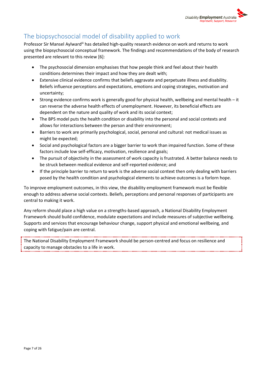

# <span id="page-6-0"></span>The biopsychosocial model of disability applied to work

Professor Sir Mansel Aylward<sup>iii</sup> has detailed high-quality research evidence on work and returns to work using the biopsychosocial conceptual framework. The findings and recommendations of the body of research presented are relevant to this review [6]:

- The psychosocial dimension emphasises that how people think and feel about their health conditions determines their impact and how they are dealt with;
- Extensive clinical evidence confirms that beliefs aggravate and perpetuate illness and disability. Beliefs influence perceptions and expectations, emotions and coping strategies, motivation and uncertainty;
- Strong evidence confirms work is generally good for physical health, wellbeing and mental health it can reverse the adverse health effects of unemployment. However, its beneficial effects are dependent on the nature and quality of work and its social context;
- The BPS model puts the health condition or disability into the personal and social contexts and allows for interactions between the person and their environment;
- Barriers to work are primarily psychological, social, personal and cultural: not medical issues as might be expected;
- Social and psychological factors are a bigger barrier to work than impaired function. Some of these factors include low self-efficacy, motivation, resilience and goals;
- The pursuit of objectivity in the assessment of work capacity is frustrated. A better balance needs to be struck between medical evidence and self-reported evidence; and
- If the principle barrier to return to work is the adverse social context then only dealing with barriers posed by the health condition and psychological elements to achieve outcomes is a forlorn hope.

To improve employment outcomes, in this view, the disability employment framework must be flexible enough to address adverse social contexts. Beliefs, perceptions and personal responses of participants are central to making it work.

Any reform should place a high value on a strengths-based approach, a National Disability Employment Framework should build confidence, modulate expectations and include measures of subjective wellbeing. Supports and services that encourage behaviour change, support physical and emotional wellbeing, and coping with fatigue/pain are central.

The National Disability Employment Framework should be person-centred and focus on resilience and capacity to manage obstacles to a life in work.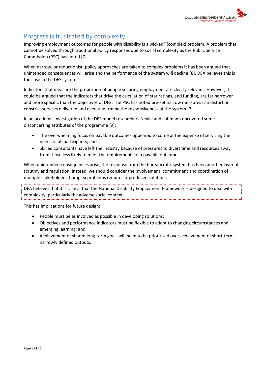

# <span id="page-7-0"></span>Progress is frustrated by complexity

Improving employment outcomes for people with disability is a wicked<sup>iv</sup> (complex) problem. A problem that cannot be solved through traditional policy responses due to social complexity as the Public Service Commission (PSC) has noted [7].

When narrow, or reductionist, policy approaches are taken to complex problems it has been argued that unintended consequences will arise and the performance of the system will decline [8]. DEA believes this is the case in the DES system.<sup>v</sup>

Indicators that measure the proportion of people securing employment are clearly relevant. However, it could be argued that the indicators that drive the calculation of star ratings, and funding, are far narrower and more specific than the objectives of DES. The PSC has noted pre-set narrow measures can distort or constrict services delivered and even undermine the responsiveness of the system [7].

In an academic investigation of the DES model researchers Nevile and Lohmann uncovered some disconcerting attributes of the programme [9]:

- The overwhelming focus on payable outcomes appeared to come at the expense of servicing the needs of all participants; and
- Skilled consultants have left the industry because of pressures to divert time and resources away from those less likely to meet the requirements of a payable outcome.

When unintended consequences arise, the response from the bureaucratic system has been another layer of scrutiny and regulation. Instead, we should consider the involvement, commitment and coordination of multiple stakeholders. Complex problems require co-produced solutions.

DEA believes that it is critical that the National Disability Employment Framework is designed to deal with complexity, particularly the adverse social context.

This has implications for future design:

- People must be as involved as possible in developing solutions;
- Objectives and performance indicators must be flexible to adapt to changing circumstances and emerging learning; and
- Achievement of shared long-term goals will need to be prioritised over achievement of short-term, narrowly defined outputs.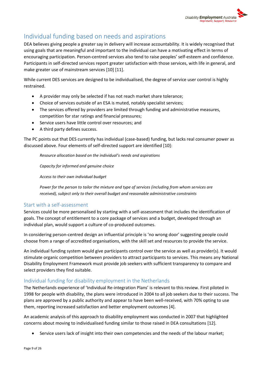

# <span id="page-8-0"></span>Individual funding based on needs and aspirations

DEA believes giving people a greater say in delivery will increase accountability. It is widely recognised that using goals that are meaningful and important to the individual can have a motivating effect in terms of encouraging participation. Person-centred services also tend to raise peoples' self-esteem and confidence. Participants in self-directed services report greater satisfaction with those services, with life in general, and make greater use of mainstream services [10] [11].

While current DES services are designed to be individualised, the degree of service user control is highly restrained.

- A provider may only be selected if has not reach market share tolerance;
- Choice of services outside of an ESA is muted, notably specialist services;
- The services offered by providers are limited through funding and administrative measures, competition for star ratings and financial pressures;
- Service users have little control over resources; and
- A third party defines success.

The PC points out that DES currently has individual (case-based) funding, but lacks real consumer power as discussed above. Four elements of self-directed support are identified [10]:

*Resource allocation based on the individual's needs and aspirations*

*Capacity for informed and genuine choice*

*Access to their own individual budget*

*Power for the person to tailor the mixture and type of services (including from whom services are received), subject only to their overall budget and reasonable administrative constraints*

#### <span id="page-8-1"></span>Start with a self-assessment

Services could be more personalised by starting with a self-assessment that includes the identification of goals. The concept of entitlement to a core package of services and a budget, developed through an individual plan, would support a culture of co-produced outcomes.

In considering person-centred design an influential principle is 'no wrong door' suggesting people could choose from a range of accredited organisations, with the skill set and resources to provide the service.

An individual funding system would give participants control over the service as well as provider(s). It would stimulate organic competition between providers to attract participants to services. This means any National Disability Employment Framework must provide job seekers with sufficient transparency to compare and select providers they find suitable.

#### <span id="page-8-2"></span>Individual funding for disability employment in the Netherlands

The Netherlands experience of 'Individual Re-integration Plans' is relevant to this review. First piloted in 1998 for people with disability, the plans were introduced in 2004 to all job seekers due to their success. The plans are approved by a public authority and appear to have been well-received, with 70% opting to use them, reporting increased satisfaction and better employment outcomes [4].

An academic analysis of this approach to disability employment was conducted in 2007 that highlighted concerns about moving to individualised funding similar to those raised in DEA consultations [12].

Service users lack of insight into their own competencies and the needs of the labour market;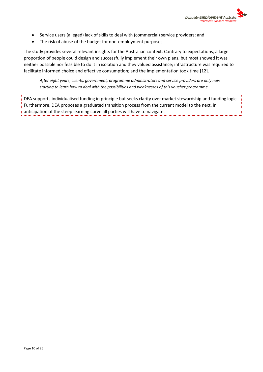

- Service users (alleged) lack of skills to deal with (commercial) service providers; and
- The risk of abuse of the budget for non-employment purposes.

The study provides several relevant insights for the Australian context. Contrary to expectations, a large proportion of people could design and successfully implement their own plans, but most showed it was neither possible nor feasible to do it in isolation and they valued assistance; infrastructure was required to facilitate informed choice and effective consumption; and the implementation took time [12].

*After eight years, clients, government, programme administrators and service providers are only now starting to learn how to deal with the possibilities and weaknesses of this voucher programme.*

DEA supports individualised funding in principle but seeks clarity over market stewardship and funding logic. Furthermore, DEA proposes a graduated transition process from the current model to the next, in anticipation of the steep learning curve all parties will have to navigate.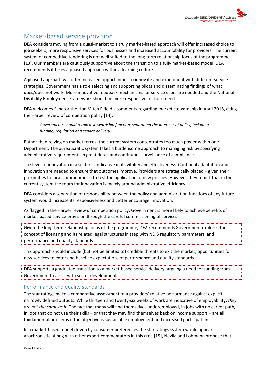

## <span id="page-10-0"></span>Market-based service provision

DEA considers moving from a quasi-market to a truly market-based approach will offer increased choice to job seekers, more responsive services for businesses and increased accountability for providers. The current system of competitive tendering is not well suited to the long-term relationship focus of the programme [13]. Our members are cautiously supportive about the transition to a fully market-based model, DEA recommends it takes a phased approach within a learning culture.

A phased approach will offer increased opportunities to innovate and experiment with different service strategies. Government has a role selecting and supporting pilots and disseminating findings of what does/does not work. More innovative feedback mechanisms for service users are needed and the National Disability Employment Framework should be more responsive to those needs.

DEA welcomes Senator the Hon Mitch Fifield's comments regarding market stewardship in April 2015, citing the Harper review of competition policy [14].

*Governments should retain a stewardship function, separating the interests of policy, including funding, regulation and service delivery.*

Rather than relying on market forces, the current system concentrates too much power within one Department. The bureaucratic system takes a burdensome approach to managing risk by specifying administrative requirements in great detail and continuous surveillance of compliance.

The level of innovation in a sector is indicative of its vitality and effectiveness. Continual adaptation and innovation are needed to ensure that outcomes improve. Providers are strategically placed – given their proximities to local communities – to test the application of new policies. However they report that in the current system the room for innovation is mainly around administrative efficiency.

DEA considers a separation of responsibility between the policy and administration functions of any future system would increase its responsiveness and better encourage innovation.

As flagged in the Harper review of competition policy, Government is more likely to achieve benefits of market-based service provision through the careful commissioning of services.

Given the long-term relationship focus of the programme, DEA recommends Government explores the concept of licensing and its related legal structures in step with NDIS regulatory parameters, and performance and quality standards. 

This approach should include (but not be limited to) credible threats to exit the market, opportunities for new services to enter and baseline expectations of performance and quality standards.

DEA supports a graduated transition to a market-based service delivery, arguing a need for funding from Government to assist with sector development.

#### <span id="page-10-1"></span>Performance and quality standards

The star ratings make a comparative assessment of a providers' relative performance against explicit, narrowly defined outputs. While thirteen and twenty-six weeks of work are indicative of employability, *they are not the same as it*. The fact that many will find themselves underemployed, in jobs with no career path, in jobs that do not use their skills – or that they may find themselves back on income support – are all fundamental problems if the objective is sustainable employment and increased participation.

In a market-based model driven by consumer preferences the star ratings system would appear anachronistic. Along with other expert commentators in this area [15], Nevile and Lohmann propose that,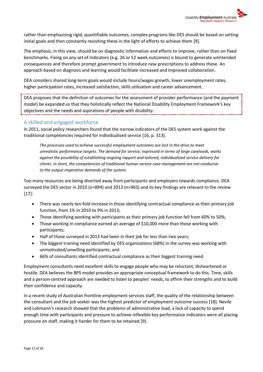

rather than emphasising rigid, quantifiable outcomes, complex programs like DES should be based on setting initial goals and then constantly revisiting these in the light of efforts to achieve them [9].

The emphasis, in this view, should be on diagnostic information and efforts to improve, rather than on fixed benchmarks. Fixing on any set of indicators (e.g. 26 or 52 week outcomes) is bound to generate unintended consequences and therefore prompt government to introduce new prescriptions to address these. An approach based on diagnosis and learning would facilitate increased and improved collaboration.

DEA considers shared long-term goals would include hours/wages growth, lower unemployment rates, higher participation rates, increased satisfaction, skills utilisation and career advancement.

DEA proposes that the definition of outcomes for the assessment of provider performance (and the payment  $\frac{1}{2}$ ) model) be expanded so that they holistically reflect the National Disability Employment Framework's key objectives and the needs and aspirations of people with disability.

#### <span id="page-11-0"></span>A skilled and engaged workforce

In 2011, social policy researchers found that the narrow indicators of the DES system work against the traditional competencies required for individualised service [16, p. 313].

*The processes used to achieve successful employment outcomes are lost in the drive to meet unrealistic performance targets. The demand for service, expressed in terms of large caseloads, works against the possibility of establishing ongoing rapport and tailored, individualized service delivery for clients. In short, the competencies of traditional human service case management are not conducive to the output imperative demands of the system.*

Too many resources are being diverted away from participants and employers towards compliance. DEA surveyed the DES sector in 2010 (n=894) and 2013 (n=963) and its key findings are relevant to the review [17]:

- There was nearly ten-fold increase in those identifying contractual compliance as their primary job function, from 1% in 2010 to 9% in 2013;
- Those identifying working with participants as their primary job function fell from 60% to 50%;
- Those working in compliance earned an average of \$10,000 more than those working with participants;
- Half of those surveyed in 2013 had been in their job for less than two years;
- The biggest training need identified by DES organisations (68%) in the survey was working with unmotivated/unwilling participants; and
- 66% of consultants identified contractual compliance as their biggest training need.

Employment consultants need excellent skills to engage people who may be reluctant, disheartened or hostile. DEA believes the BPS model provides an appropriate conceptual framework to do this. Time, skills and a person-centred approach are needed to listen to peoples' needs, to affirm their strengths and to build their confidence and capacity.

In a recent study of Australian frontline employment services staff, the quality of the relationship between the consultant and the job seeker was the highest predictor of employment outcome success [18]. Nevile and Lohmann's research showed that the problems of administrative load, a lack of capacity to spend enough time with participants and pressure to achieve inflexible key performance indicators were all placing pressure on staff, making it harder for them to be retained [9].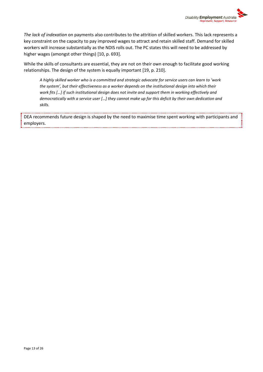

*The lack of indexation* on payments also contributes to the attrition of skilled workers. This lack represents a key constraint on the capacity to pay improved wages to attract and retain skilled staff. Demand for skilled workers will increase substantially as the NDIS rolls out. The PC states this will need to be addressed by higher wages (amongst other things) [10, p. 693].

While the skills of consultants are essential, they are not on their own enough to facilitate good working relationships. The design of the system is equally important [19, p. 210].

*A highly skilled worker who is a committed and strategic advocate for service users can learn to 'work the system', but their effectiveness as a worker depends on the institutional design into which their work fits […] if such institutional design does not invite and support them in working effectively and democratically with a service user […] they cannot make up for this deficit by their own dedication and skills.* 

DEA recommends future design is shaped by the need to maximise time spent working with participants and employers.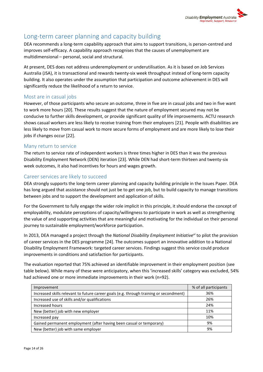

## <span id="page-13-0"></span>Long-term career planning and capacity building

DEA recommends a long-term capability approach that aims to support transitions, is person-centred and improves self-efficacy. A capability approach recognises that the causes of unemployment are multidimensional – personal, social and structural.

At present, DES does not address underemployment or underutilisation. As it is based on Job Services Australia (JSA), it is transactional and rewards twenty-six week throughput instead of long-term capacity building. It also operates under the assumption that participation and outcome achievement in DES will significantly reduce the likelihood of a return to service.

#### <span id="page-13-1"></span>Most are in casual jobs

However, of those participants who secure an outcome, three in five are in casual jobs and two in five want to work more hours [20]. These results suggest that the nature of employment secured may not be conducive to further skills development, or provide significant quality of life improvements. ACTU research shows casual workers are less likely to receive training from their employers [21]. People with disabilities are less likely to move from casual work to more secure forms of employment and are more likely to lose their jobs if changes occur [22].

#### <span id="page-13-2"></span>Many return to service

The return to service rate of independent workers is three times higher in DES than it was the previous Disability Employment Network (DEN) iteration [23]. While DEN had short-term thirteen and twenty-six week outcomes, it also had incentives for hours and wages growth.

#### <span id="page-13-3"></span>Career services are likely to succeed

DEA strongly supports the long-term career planning and capacity building principle in the Issues Paper. DEA has long argued that assistance should not just be to get one job, but to build capacity to manage transitions between jobs and to support the development and application of skills.

For the Government to fully engage the wider role implicit in this principle, it should endorse the concept of employability, modulate perceptions of capacity/willingness to participate in work as well as strengthening the value of and supporting activities that are meaningful and motivating for the individual on their personal journey to sustainable employment/workforce participation.

In 2013, DEA managed a project through the *National Disability Employment Initiativevi* to pilot the provision of career services in the DES programme [24]. The outcomes support an innovative addition to a National Disability Employment Framework: targeted career services. Findings suggest this service could produce improvements in conditions and satisfaction for participants.

The evaluation reported that 75% achieved an identifiable improvement in their employment position (see table below). While many of these were anticipatory, when this 'increased skills' category was excluded, 54% had achieved one or more immediate improvements in their work (n=92).

| Improvement                                                                            | % of all participants |
|----------------------------------------------------------------------------------------|-----------------------|
| Increased skills relevant to future career goals (e.g. through training or secondment) | 36%                   |
| Increased use of skills and/or qualifications                                          | 26%                   |
| Increased hours                                                                        | 24%                   |
| New (better) job with new employer                                                     | 11%                   |
| Increased pay                                                                          | 10%                   |
| Gained permanent employment (after having been casual or temporary)                    | 9%                    |
| New (better) job with same employer                                                    | 9%                    |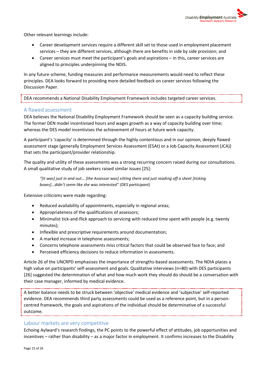

Other relevant learnings include:

- Career development services require a different skill set to those used in employment placement services – they are different services, although there are benefits in side by side provision; and
- Career services must meet the participant's goals and aspirations in this, career services are aligned to principles underpinning the NDIS.

In any future scheme, funding measures and performance measurements would need to reflect these principles. DEA looks forward to providing more detailed feedback on career services following the Discussion Paper.

DEA recommends a National Disability Employment Framework includes targeted career services.

#### <span id="page-14-0"></span>A flawed assessment

DEA believes the National Disability Employment Framework should be seen as a capacity building service. The former DEN model incentivised hours and wages growth as a way of capacity building over time; whereas the DES model incentivises the achievement of hours at future work capacity.

A participant's 'capacity' is determined through the highly contentious and in our opinion, deeply flawed assessment stage (generally Employment Services Assessment (ESAt) or a Job Capacity Assessment (JCA)) that sets the participant/provider relationship.

The quality and utility of these assessments was a strong recurring concern raised during our consultations. A small qualitative study of job seekers raised similar issues [25]:

*"[it was] just in and out... [the Assessor was] sitting there and just reading off a sheet [ticking boxes]...didn't seem like she was interested" (DES participant)*

Extensive criticisms were made regarding:

- Reduced availability of appointments, especially in regional areas;
- Appropriateness of the qualifications of assessors;
- Minimalist tick-and-flick approach to servicing with reduced time spent with people (e.g. twenty minutes);
- Inflexible and prescriptive requirements around documentation;
- A marked increase in telephone assessments;
- Concerns telephone assessments miss critical factors that could be observed face to face; and
- Perceived efficiency decisions to reduce information in assessments.

Article 26 of the UNCRPD emphasises the importance of strengths-based assessments. The NDIA places a high value on participants' self-assessment and goals. Qualitative interviews (n=80) with DES participants [26] suggested the determination of what and how much work they should do should be a conversation with their case manager, informed by medical evidence.

A better balance needs to be struck between 'objective' medical evidence and 'subjective' self-reported evidence. DEA recommends third party assessments could be used as a reference point, but in a personcentred framework, the goals and aspirations of the individual should be determinative of a successful outcome.

#### <span id="page-14-1"></span>Labour markets are very competitive

Echoing Aylward's research findings, the PC points to the powerful effect of attitudes, job opportunities and incentives – rather than disability – as a major factor in employment. It confirms increases to the Disability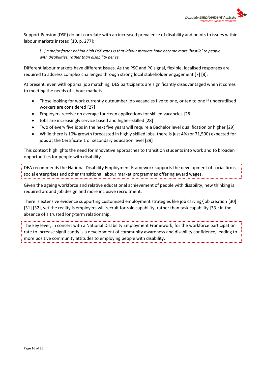

Support Pension (DSP) do not correlate with an increased prevalence of disability and points to issues within labour markets instead [10, p. 277]:

*[…] a major factor behind high DSP rates is that labour markets have become more 'hostile' to people with disabilities, rather than disability per se.* 

Different labour markets have different issues. As the PSC and PC signal, flexible, localised responses are required to address complex challenges through strong local stakeholder engagement [7] [8].

At present, even with optimal job matching, DES participants are significantly disadvantaged when it comes to meeting the needs of labour markets.

- Those looking for work currently outnumber job vacancies five to one, or ten to one if underutilised workers are considered [27]
- Employers receive on average fourteen applications for skilled vacancies [28]
- Jobs are increasingly service based and higher-skilled [28]
- Two of every five jobs in the next five years will require a Bachelor level qualification or higher [29]
- While there is 10% growth forecasted in highly skilled jobs, there is just 4% (or 71,500) expected for jobs at the Certificate 1 or secondary education level [29]

This context highlights the need for innovative approaches to transition students into work and to broaden opportunities for people with disability.

DEA recommends the National Disability Employment Framework supports the development of social firms, social enterprises and other transitional labour market programmes offering award wages.

Given the ageing workforce and relative educational achievement of people with disability, new thinking is required around job design and more inclusive recruitment.

There is extensive evidence supporting customised employment strategies like job carving/job creation [30] [31] [32], yet the reality is employers will recruit for role capability, rather than task capability [33]; in the absence of a trusted long-term relationship.

The key lever, in concert with a National Disability Employment Framework, for the workforce participation rate to increase significantly is a development of community awareness and disability confidence, leading to more positive community attitudes to employing people with disability.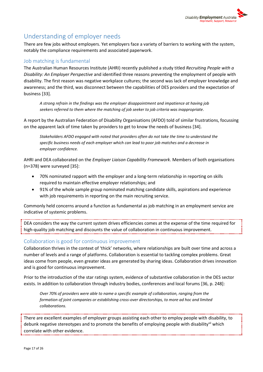

## <span id="page-16-0"></span>Understanding of employer needs

There are few jobs without employers. Yet employers face a variety of barriers to working with the system, notably the compliance requirements and associated paperwork.

#### <span id="page-16-1"></span>Job matching is fundamental

The Australian Human Resources Institute (AHRI) recently published a study titled *Recruiting People with a Disability: An Employer Perspective* and identified three reasons preventing the employment of people with disability. The first reason was negative workplace cultures; the second was lack of employer knowledge and awareness; and the third, was disconnect between the capabilities of DES providers and the expectation of business [33].

*A strong refrain in the findings was the employer disappointment and impatience at having job seekers referred to them where the matching of job seeker to job criteria was inappropriate.* 

A report by the Australian Federation of Disability Organisations (AFDO) told of similar frustrations, focussing on the apparent lack of time taken by providers to get to know the needs of business [34].

*Stakeholders AFDO engaged with noted that providers often do not take the time to understand the specific business needs of each employer which can lead to poor job matches and a decrease in employer confidence.*

AHRI and DEA collaborated on the *Employer Liaison Capability Framework*. Members of both organisations (n=378) were surveyed [35]:

- 70% nominated rapport with the employer and a long-term relationship in reporting on skills required to maintain effective employer relationships; and
- 91% of the whole sample group nominated matching candidate skills, aspirations and experience with job requirements in reporting on the main recruiting service.

Commonly held concerns around a function as fundamental as job matching in an employment service are indicative of systemic problems.

DEA considers the way the current system drives efficiencies comes at the expense of the time required for high-quality job matching and discounts the value of collaboration in continuous improvement.

#### <span id="page-16-2"></span>Collaboration is good for continuous improvement

Collaboration thrives in the context of 'thick' networks, where relationships are built over time and across a number of levels and a range of platforms. Collaboration is essential to tackling complex problems. Great ideas come from people, even greater ideas are generated by sharing ideas. Collaboration drives innovation and is good for continuous improvement.

Prior to the introduction of the star ratings system, evidence of substantive collaboration in the DES sector exists. In addition to collaboration through industry bodies, conferences and local forums [36, p. 248]:

*Over 70% of providers were able to name a specific example of collaboration, ranging from the formation of joint companies or establishing cross-over directorships, to more ad hoc and limited collaborations.*

There are excellent examples of employer groups assisting each other to employ people with disability, to debunk negative stereotypes and to promote the benefits of employing people with disabilityvii which correlate with other evidence.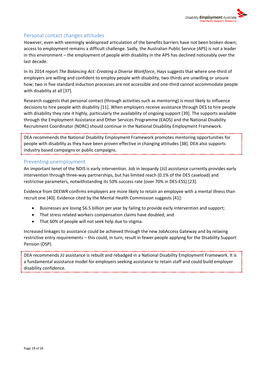

#### <span id="page-17-0"></span>Personal contact changes attitudes

However, even with seemingly widespread articulation of the benefits barriers have not been broken down; access to employment remains a difficult challenge. Sadly, the Australian Public Service (APS) is not a leader in this environment – the employment of people with disability in the APS has declined noticeably over the last decade.

In its 2014 report *The Balancing Act: Creating a Diverse Workforce*, Hays suggests that where one-third of employers are willing and confident to employ people with disability, two-thirds are unwilling or unsure how; two in five standard induction processes are not accessible and one-third cannot accommodate people with disability at all [37].

Research suggests that personal contact (through activities such as mentoring) is most likely to influence decisions to hire people with disability [11]. When employers receive assistance through DES to hire people with disability they rate it highly, particularly the availability of ongoing support [39]. The supports available through the Employment Assistance and Other Services Programme (EAOS) and the National Disability Recruitment Coordinator (NDRC) should continue in the National Disability Employment Framework.

DEA recommends the National Disability Employment Framework promotes mentoring opportunities for people with disability as they have been proven effective in changing attitudes [38]. DEA also supports industry based campaigns or public campaigns.

#### <span id="page-17-1"></span>Preventing unemployment

An important tenet of the NDIS is early intervention. Job in Jeopardy (JiJ) assistance currently provides early intervention through three-way partnerships, but has limited reach (0.1% of the DES caseload) and restrictive parameters, notwithstanding its 50% success rate (over 70% in DES-ESS) [23].

Evidence from DEEWR confirms employers are more likely to retain an employee with a mental illness than recruit one [40]. Evidence cited by the Mental Health Commission suggests [41]:

- Businesses are losing \$6.5 billion per year by failing to provide early intervention and support;
- That stress related workers compensation claims have doubled; and
- That 60% of people will not seek help due to stigma.

Increased linkages to assistance could be achieved through the new JobAccess Gateway and by relaxing restrictive entry requirements – this could, in turn, result in fewer people applying for the Disability Support Pension (DSP).

DEA recommends JiJ assistance is rebuilt and rebadged in a National Disability Employment Framework. It is a fundamental assistance model for employers seeking assistance to retain staff and could build employer disability confidence.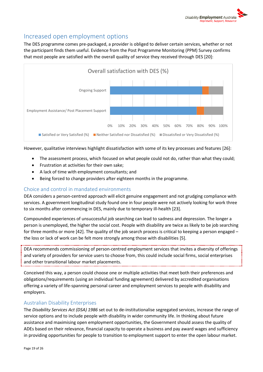## <span id="page-18-0"></span>Increased open employment options

The DES programme comes pre-packaged, a provider is obliged to deliver certain services, whether or not the participant finds them useful. Evidence from the Post Programme Monitoring (PPM) Survey confirms that most people are satisfied with the overall quality of service they received through DES [20]:



However, qualitative interviews highlight dissatisfaction with some of its key processes and features [26]:

- The assessment process, which focused on what people could not do, rather than what they could;
- Frustration at activities for their own sake;
- A lack of time with employment consultants; and
- Being forced to change providers after eighteen months in the programme.

#### <span id="page-18-1"></span>Choice and control in mandated environments

DEA considers a person-centred approach will elicit genuine engagement and not grudging compliance with services. A government longitudinal study found one in four people were not actively looking for work three to six months after commencing in DES, mainly due to temporary ill-health [23].

Compounded experiences of unsuccessful job searching can lead to sadness and depression. The longer a person is unemployed, the higher the social cost. People with disability are twice as likely to be job searching for three months or more [42]. The quality of the job search process is critical to keeping a person engaged – the loss or lack of work can be felt more strongly among those with disabilities [5].

DEA recommends commissioning of person-centred employment services that invites a diversity of offerings and variety of providers for service users to choose from, this could include social firms, social enterprises and other transitional labour market placements.

Conceived this way, a person could choose one or multiple activities that meet both their preferences and obligations/requirements (using an individual funding agreement) delivered by accredited organisations offering a variety of life-spanning personal career and employment services to people with disability and employers.

#### <span id="page-18-2"></span>Australian Disability Enterprises

The *Disability Services Act (DSA) 1986* set out to de-institutionalise segregated services, increase the range of service options and to include people with disability in wider community life. In thinking about future assistance and maximising open employment opportunities, the Government should assess the quality of ADEs based on their relevance, financial capacity to operate a business and pay award wages and sufficiency in providing opportunities for people to transition to employment support to enter the open labour market.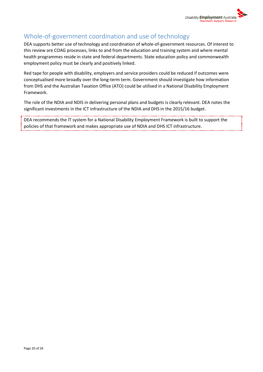

## <span id="page-19-0"></span>Whole-of-government coordination and use of technology

DEA supports better use of technology and coordination of whole-of-government resources. Of interest to this review are COAG processes, links to and from the education and training system and where mental health programmes reside in state and federal departments. State education policy and commonwealth employment policy must be clearly and positively linked.

Red tape for people with disability, employers and service providers could be reduced if outcomes were conceptualised more broadly over the long-term term. Government should investigate how information from DHS and the Australian Taxation Office (ATO) could be utilised in a National Disability Employment Framework.

The role of the NDIA and NDIS in delivering personal plans and budgets is clearly relevant. DEA notes the significant investments in the ICT infrastructure of the NDIA and DHS in the 2015/16 budget.

DEA recommends the IT system for a National Disability Employment Framework is built to support the policies of that framework and makes appropriate use of NDIA and DHS ICT infrastructure.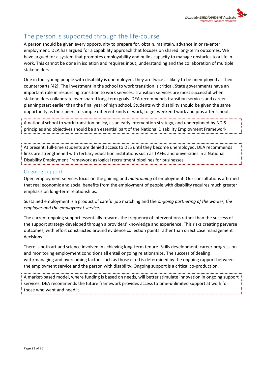

## <span id="page-20-0"></span>The person is supported through the life-course

A person should be given every opportunity to prepare for, obtain, maintain, advance in or re-enter employment. DEA has argued for a capability approach that focuses on shared long-term outcomes. We have argued for a system that promotes employability and builds capacity to manage obstacles to a life in work. This cannot be done in isolation and requires input, understanding and the collaboration of multiple stakeholders.

One in four young people with disability is unemployed, they are twice as likely to be unemployed as their counterparts [42]. The investment in the school to work transition is critical. State governments have an important role in resourcing transition to work services. Transition services are most successful when stakeholders collaborate over shared long-term goals. DEA recommends transition services and career planning start earlier than the final year of high school. Students with disability should be given the same opportunity as their peers to sample different kinds of work, to get weekend work and jobs after school.

A national school to work transition policy, as an early intervention strategy, and underpinned by NDIS principles and objectives should be an essential part of the National Disability Employment Framework.

At present, full-time students are denied access to DES until they become unemployed. DEA recommends links are strengthened with tertiary education institutions such as TAFEs and universities in a National Disability Employment Framework as logical recruitment pipelines for businesses.

#### <span id="page-20-1"></span>Ongoing support

Open employment services focus on the gaining and *maintaining* of employment. Our consultations affirmed that real economic and social benefits from the employment of people with disability requires much greater emphasis on long-term relationships.

Sustained employment is a product of careful job matching and the *ongoing partnering of the worker, the employer and the employment service***.**

The current ongoing support essentially rewards the frequency of interventions rather than the success of the support strategy developed through a providers' knowledge and experience. This risks creating perverse outcomes, with effort constructed around evidence collection points rather than direct case management decisions.

There is both art and science involved in achieving long-term tenure. Skills development, career progression and monitoring employment conditions all entail ongoing relationships. The success of dealing with/managing and overcoming factors such as those cited is determined by the ongoing rapport between the employment service and the person with disability. Ongoing support is a critical co-production.

A market-based model, where funding is based on needs, will better stimulate innovation in ongoing support services. DEA recommends the future framework provides access to time-unlimited support at work for those who want and need it.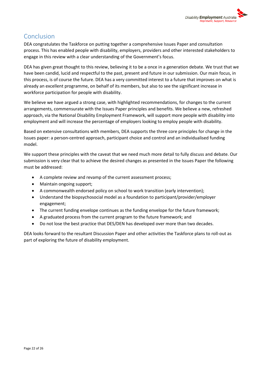

## <span id="page-21-0"></span>Conclusion

DEA congratulates the Taskforce on putting together a comprehensive Issues Paper and consultation process. This has enabled people with disability, employers, providers and other interested stakeholders to engage in this review with a clear understanding of the Government's focus.

DEA has given great thought to this review, believing it to be a once in a generation debate. We trust that we have been candid, lucid and respectful to the past, present and future in our submission. Our main focus, in this process, is of course the future. DEA has a very committed interest to a future that improves on what is already an excellent programme, on behalf of its members, but also to see the significant increase in workforce participation for people with disability.

We believe we have argued a strong case, with highlighted recommendations, for changes to the current arrangements, commensurate with the Issues Paper principles and benefits. We believe a new, refreshed approach, via the National Disability Employment Framework, will support more people with disability into employment and will increase the percentage of employers looking to employ people with disability.

Based on extensive consultations with members, DEA supports the three core principles for change in the Issues paper: a person-centred approach, participant choice and control and an individualised funding model.

We support these principles with the caveat that we need much more detail to fully discuss and debate. Our submission is very clear that to achieve the desired changes as presented in the Issues Paper the following must be addressed:

- A complete review and revamp of the current assessment process;
- Maintain ongoing support;
- A commonwealth endorsed policy on school to work transition (early intervention);
- Understand the biopsychosocial model as a foundation to participant/provider/employer engagement;
- The current funding envelope continues as the funding envelope for the future framework;
- A graduated process from the current program to the future framework; and
- Do not lose the best practice that DES/DEN has developed over more than two decades.

DEA looks forward to the resultant Discussion Paper and other activities the Taskforce plans to roll-out as part of exploring the future of disability employment.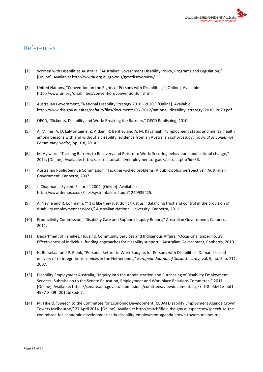

## <span id="page-22-0"></span>References

- [1] Women with Disabilities Australia, "Australian Government Disability Policy, Programs and Legislation," [Online]. Available: http://wwda.org.au/govtdis/govtdisoverview/.
- [2] United Nations, "Convention on the Rights of Persons with Disabilities," [Online]. Available: http://www.un.org/disabilities/convention/conventionfull.shtml.
- [3] Australian Government, "National Disability Strategy 2010 2020," [Online]. Available: http://www.dss.gov.au/sites/default/files/documents/05\_2012/national\_disability\_strategy\_2010\_2020.pdf.
- [4] OECD, "Sickness, Disability and Work: Breaking the Barriers," OECD Publishing, 2010.
- [5] A. Milner, A. D. LaMontagne, Z. Aitken, R. Bentley and A. M. Kavanagh, "Employment status and mental health among persons with and without a disability: evidence from an Australian cohort study," *Journal of Epidemiol Community Health,* pp. 1-8, 2014.
- [6] M. Aylward, "Tackling Barriers to Recovery and Return to Work: Securing behavioural and cultural change," 2014. [Online]. Available: http://abstract.disabilityemployment.org.au/abstract.php?id=33.
- [7] Australian Public Service Commission, "Tackling wicked problems: A public policy perspective," Australian Government, Canberra, 2007.
- [8] J. Chapman, "System Failure," 2004. [Online]. Available: http://www.demos.co.uk/files/systemfailure2.pdf?1240939425.
- [9] A. Nevile and R. Lohmann, ""It is like they just don't trust us": Balancing trust and control in the provision of disability employment services," Australian National University, Canberra, 2011.
- [10] Productivity Commission, "Disability Care and Support: Inquiry Report," Australian Government, Canberra, 2011.
- [11] Department of Families, Housing, Community Services and Indigenous Affairs, "Occasional paper no. 29: Effectiveness of individual funding approaches for disability support," Australian Government, Canberra, 2010.
- [12] H. Bosselaar and P. Rienk, "Personal Return to Work Budgets for Persons with Disabilities: Demand-based delivery of re-integrations services in the Netherlands," *European Journal of Social Security,* vol. 9, no. 2, p. 111, 2007.
- [13] Disability Employment Australia, "Inquiry into the Administration and Purchasing of Disability Employment Services: Submission to the Senate Education, Employment and Workplace Relations Committee," 2011. [Online]. Available: https://senate.aph.gov.au/submissions/comittees/viewdocument.aspx?id=8fa5b61e-ebf1- 4997-8e09-f2012bf8ede7.
- [14] M. Fifield, "Speech to the Committee for Economic Development (CEDA) Disability Employment Agenda Crown Towers Melbourne," 27 April 2014. [Online]. Available: http://mitchfifield.dss.gov.au/speeches/speech-to-thecommittee-for-economic-development-ceda-disability-employment-agenda-crown-towers-melbourne.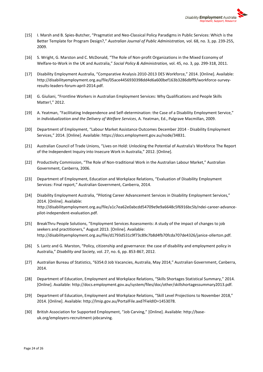

- [15] I. Marsh and B. Spies-Butcher, "Pragmatist and Neo-Classical Policy Paradigms in Public Services: Which is the Better Template for Program Design?," *Australian Journal of Public Administration,* vol. 68, no. 3, pp. 239-255, 2009.
- [16] S. Wright, G. Marston and C. McDonald, "The Role of Non-profit Organizations in the Mixed Economy of Welfare-to-Work in the UK and Australia," *Social Policy & Administration,* vol. 45, no. 3, pp. 299-318, 2011.
- [17] Disability Employment Australia, "Comparative Analysis 2010-2013 DES Workforce," 2014. [Online]. Available: http://disabilityemployment.org.au/file/05ace4456930398dd4d6a600bef163b3286dbff9/workforce-surveyresults-leaders-forum-april-2014.pdf.
- [18] G. Giuliani, "Frontline Workers in Australian Employment Services: Why Qualifications and People Skills Matter!," 2012.
- [19] A. Yeatman, "Facilitating Independence and Self-determination: the Case of a Disability Employment Service," in *Individualization and the Delivery of Welfare Services*, A. Yeatman, Ed., Palgrave Macmillan, 2009.
- [20] Department of Employment, "Labour Market Assistance Outcomes December 2014 Disability Employment Services," 2014. [Online]. Available: https://docs.employment.gov.au/node/34831.
- [21] Australian Council of Trade Unions, "Lives on Hold: Unlocking the Potential of Australia's Workforce The Report of the Independent Inquiry into Insecure Work in Australia," 2012. [Online].
- [22] Productivity Commission, "The Role of Non-traditional Work in the Australian Labour Market," Australian Government, Canberra, 2006.
- [23] Department of Employment, Education and Workplace Relations, "Evaluation of Disability Employment Services: Final report," Australian Government, Canberra, 2014.
- [24] Disability Employment Australia, "Piloting Career Advancement Services in Disability Employment Services," 2014. [Online]. Available: http://disabilityemployment.org.au/file/a1c7ea62e0abcdd54709e9e9a6648c5f6916bc5b/ndei-career-advancepilot-independent-evaluation.pdf.
- [25] BreakThru People Solutions, "Employment Services Assessments: A study of the impact of changes to job seekers and practitioners," August 2013. [Online]. Available: http://disabilityemployment.org.au/file/d1793d531c9f73c89c7b8d4fb70fcda707de4326/janice-ollerton.pdf.
- [26] S. Lantz and G. Marston, "Policy, citizenship and governance: the case of disability and employment policy in Australia," *Disability and Society,* vol. 27, no. 6, pp. 853-867, 2012.
- [27] Australian Bureau of Statistics, "6354.0 Job Vacancies, Australia, May 2014," Australian Government, Canberra, 2014.
- [28] Department of Education, Employment and Workplace Relations, "Skills Shortages Statistical Summary," 2014. [Online]. Available: http://docs.employment.gov.au/system/files/doc/other/skillshortagessummary2013.pdf.
- [29] Department of Education, Employment and Workplace Relations, "Skill Level Projections to November 2018," 2014. [Online]. Available: http://lmip.gov.au/PortalFile.axd?FieldID=1453078.
- [30] British Association for Supported Employment, "Job Carving," [Online]. Available: http://baseuk.org/employers-recruitment-jobcarving.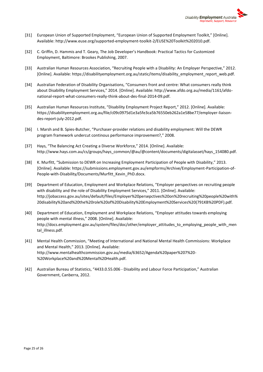

- [31] European Union of Supported Employment, "European Union of Supported Employment Toolkit," [Online]. Available: http://www.euse.org/supported-employment-toolkit-2/EUSE%20Toolkit%202010.pdf.
- [32] C. Griffin, D. Hammis and T. Geary, The Job Developer's Handbook: Practical Tactics for Customized Employment, Baltimore: Brookes Publishing, 2007.
- [33] Australian Human Resources Association, "Recruiting People with a Disability: An Employer Perspective," 2012. [Online]. Available: https://disabilityemployment.org.au/static/items/disability\_employment\_report\_web.pdf.
- [34] Australian Federation of Disability Organisations, "Consumers front and centre: What consumers really think about Disability Employment Services," 2014. [Online]. Available: http://www.afdo.org.au/media/1161/afdonational-report-what-consumers-really-think-about-des-final-2014-09.pdf.
- [35] Australian Human Resources Institute, "Disability Employment Project Report," 2012. [Online]. Available: https://disabilityemployment.org.au/file/c09c0975d1e3a5fe3ca5b76550eb262a1e58be77/employer-liaisondes-report-july-2012.pdf.
- [36] I. Marsh and B. Spies-Butcher, "Purchaser-provider relations and disability employment: Will the DEWR program framework undercut continous performance improvement?," 2008.
- [37] Hays, "The Balancing Act Creating a Diverse Workforce," 2014. [Online]. Available: http://www.hays.com.au/cs/groups/hays\_common/@au/@content/documents/digitalasset/hays\_154080.pdf.
- [38] K. Murfitt, "Submission to DEWR on Increasing Employment Participation of People with Disability," 2013. [Online]. Available: https://submissions.employment.gov.au/empforms/Archive/Employment-Participation-of-People-with-Disability/Documents/Murfitt\_Kevin\_PhD.docx.
- [39] Department of Education, Employment and Workplace Relations, "Employer perspectives on recruiting people with disability and the role of Disability Employment Services," 2011. [Online]. Available: http://jobaccess.gov.au/sites/default/files/Employer%20persepctives%20on%20recruiting%20people%20with% 20disability%20and%20the%20role%20of%20Disability%20Employment%20Services%20(791KB%20PDF).pdf.
- [40] Department of Education, Employment and Workplace Relations, "Employer attitudes towards employing people with mental illness," 2008. [Online]. Available: http://docs.employment.gov.au/system/files/doc/other/employer\_attitudes\_to\_employing\_people\_with\_men tal illness.pdf.
- [41] Mental Health Commission, "Meeting of International and National Mental Health Commissions: Workplace and Mental Health," 2013. [Online]. Available: http://www.mentalhealthcommission.gov.au/media/63652/Agenda%20paper%207%20- %20Workplace%20and%20Mental%20Health.pdf.
- [42] Australian Bureau of Statistics, "4433.0.55.006 Disability and Labour Force Participation," Australian Government, Canberra, 2012.